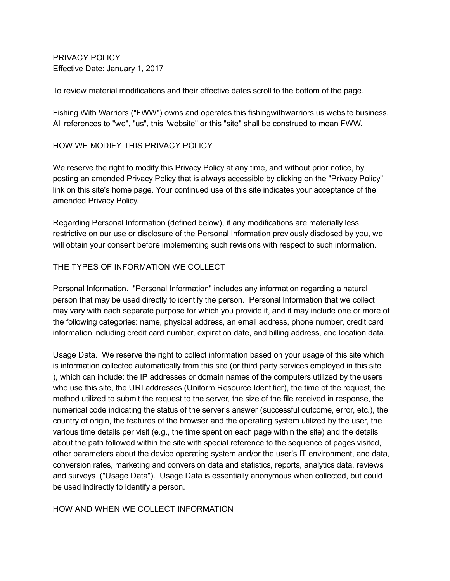PRIVACY POLICY Effective Date: January 1, 2017

To review material modifications and their effective dates scroll to the bottom of the page.

Fishing With Warriors ("FWW") owns and operates this fishingwithwarriors.us website business. All references to "we", "us", this "website" or this "site" shall be construed to mean FWW.

### HOW WE MODIFY THIS PRIVACY POLICY

We reserve the right to modify this Privacy Policy at any time, and without prior notice, by posting an amended Privacy Policy that is always accessible by clicking on the "Privacy Policy" link on this site's home page. Your continued use of this site indicates your acceptance of the amended Privacy Policy.

Regarding Personal Information (defined below), if any modifications are materially less restrictive on our use or disclosure of the Personal Information previously disclosed by you, we will obtain your consent before implementing such revisions with respect to such information.

### THE TYPES OF INFORMATION WE COLLECT

Personal Information. "Personal Information" includes any information regarding a natural person that may be used directly to identify the person. Personal Information that we collect may vary with each separate purpose for which you provide it, and it may include one or more of the following categories: name, physical address, an email address, phone number, credit card information including credit card number, expiration date, and billing address, and location data.

Usage Data. We reserve the right to collect information based on your usage of this site which is information collected automatically from this site (or third party services employed in this site ), which can include: the IP addresses or domain names of the computers utilized by the users who use this site, the URI addresses (Uniform Resource Identifier), the time of the request, the method utilized to submit the request to the server, the size of the file received in response, the numerical code indicating the status of the server's answer (successful outcome, error, etc.), the country of origin, the features of the browser and the operating system utilized by the user, the various time details per visit (e.g., the time spent on each page within the site) and the details about the path followed within the site with special reference to the sequence of pages visited, other parameters about the device operating system and/or the user's IT environment, and data, conversion rates, marketing and conversion data and statistics, reports, analytics data, reviews and surveys ("Usage Data"). Usage Data is essentially anonymous when collected, but could be used indirectly to identify a person.

### HOW AND WHEN WE COLLECT INFORMATION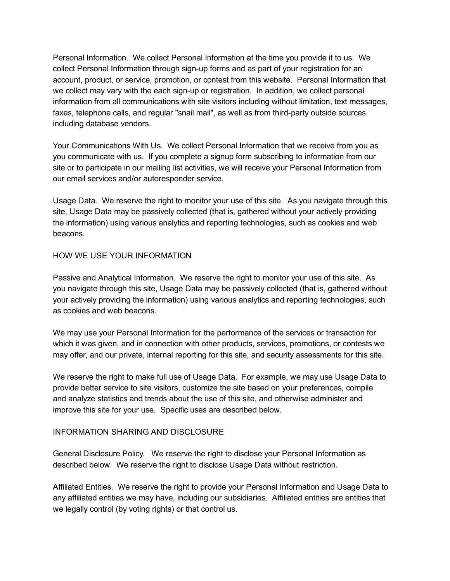Personal Information. We collect Personal Information at the time you provide it to us. We collect Personal Information through sign-up forms and as part of your registration for an account, product, or service, promotion, or contest from this website. Personal Information that we collect may vary with the each sign-up or registration. In addition, we collect personal information from all communications with site visitors including without limitation, text messages, faxes, telephone calls, and regular "snail mail", as well as from third-party outside sources including database vendors.

Your Communications With Us. We collect Personal Information that we receive from you as you communicate with us. If you complete a signup form subscribing to information from our site or to participate in our mailing list activities, we will receive your Personal Information from our email services and/or autoresponder service.

Usage Data. We reserve the right to monitor your use of this site. As you navigate through this site, Usage Data may be passively collected (that is, gathered without your actively providing the information) using various analytics and reporting technologies, such as cookies and web beacons.

## HOW WE USE YOUR INFORMATION

Passive and Analytical Information. We reserve the right to monitor your use of this site. As you navigate through this site, Usage Data may be passively collected (that is, gathered without your actively providing the information) using various analytics and reporting technologies, such as cookies and web beacons.

We may use your Personal Information for the performance of the services or transaction for which it was given, and in connection with other products, services, promotions, or contests we may offer, and our private, internal reporting for this site, and security assessments for this site.

We reserve the right to make full use of Usage Data. For example, we may use Usage Data to provide better service to site visitors, customize the site based on your preferences, compile and analyze statistics and trends about the use of this site, and otherwise administer and improve this site for your use. Specific uses are described below.

### INFORMATION SHARING AND DISCLOSURE

General Disclosure Policy. We reserve the right to disclose your Personal Information as described below. We reserve the right to disclose Usage Data without restriction.

Affiliated Entities. We reserve the right to provide your Personal Information and Usage Data to any affiliated entities we may have, including our subsidiaries. Affiliated entities are entities that we legally control (by voting rights) or that control us.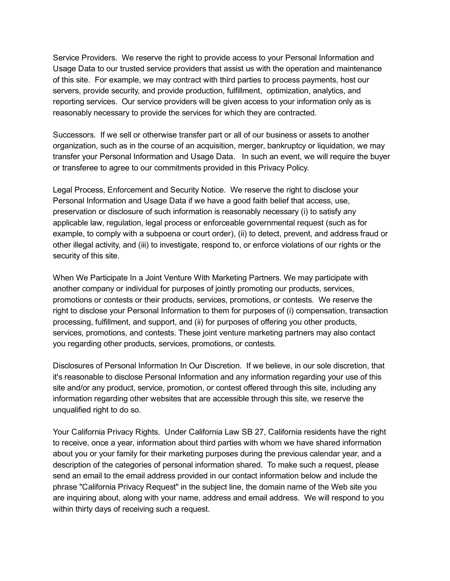Service Providers. We reserve the right to provide access to your Personal Information and Usage Data to our trusted service providers that assist us with the operation and maintenance of this site. For example, we may contract with third parties to process payments, host our servers, provide security, and provide production, fulfillment, optimization, analytics, and reporting services. Our service providers will be given access to your information only as is reasonably necessary to provide the services for which they are contracted.

Successors. If we sell or otherwise transfer part or all of our business or assets to another organization, such as in the course of an acquisition, merger, bankruptcy or liquidation, we may transfer your Personal Information and Usage Data. In such an event, we will require the buyer or transferee to agree to our commitments provided in this Privacy Policy.

Legal Process, Enforcement and Security Notice. We reserve the right to disclose your Personal Information and Usage Data if we have a good faith belief that access, use, preservation or disclosure of such information is reasonably necessary (i) to satisfy any applicable law, regulation, legal process or enforceable governmental request (such as for example, to comply with a subpoena or court order), (ii) to detect, prevent, and address fraud or other illegal activity, and (iii) to investigate, respond to, or enforce violations of our rights or the security of this site.

When We Participate In a Joint Venture With Marketing Partners. We may participate with another company or individual for purposes of jointly promoting our products, services, promotions or contests or their products, services, promotions, or contests. We reserve the right to disclose your Personal Information to them for purposes of (i) compensation, transaction processing, fulfillment, and support, and (ii) for purposes of offering you other products, services, promotions, and contests. These joint venture marketing partners may also contact you regarding other products, services, promotions, or contests.

Disclosures of Personal Information In Our Discretion. If we believe, in our sole discretion, that it's reasonable to disclose Personal Information and any information regarding your use of this site and/or any product, service, promotion, or contest offered through this site, including any information regarding other websites that are accessible through this site, we reserve the unqualified right to do so.

Your California Privacy Rights. Under California Law SB 27, California residents have the right to receive, once a year, information about third parties with whom we have shared information about you or your family for their marketing purposes during the previous calendar year, and a description of the categories of personal information shared. To make such a request, please send an email to the email address provided in our contact information below and include the phrase "California Privacy Request" in the subject line, the domain name of the Web site you are inquiring about, along with your name, address and email address. We will respond to you within thirty days of receiving such a request.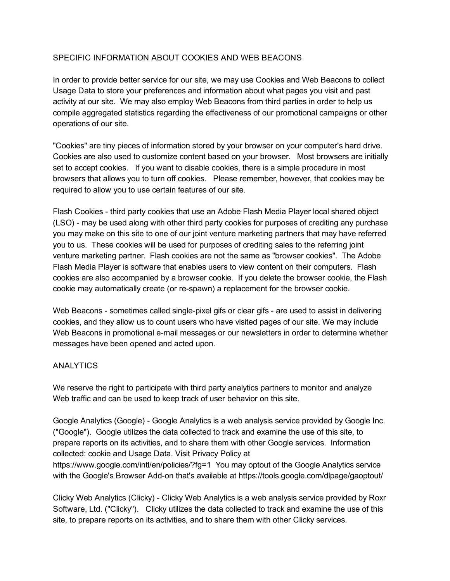# SPECIFIC INFORMATION ABOUT COOKIES AND WEB BEACONS

In order to provide better service for our site, we may use Cookies and Web Beacons to collect Usage Data to store your preferences and information about what pages you visit and past activity at our site. We may also employ Web Beacons from third parties in order to help us compile aggregated statistics regarding the effectiveness of our promotional campaigns or other operations of our site.

"Cookies" are tiny pieces of information stored by your browser on your computer's hard drive. Cookies are also used to customize content based on your browser. Most browsers are initially set to accept cookies. If you want to disable cookies, there is a simple procedure in most browsers that allows you to turn off cookies. Please remember, however, that cookies may be required to allow you to use certain features of our site.

Flash Cookies - third party cookies that use an Adobe Flash Media Player local shared object (LSO) - may be used along with other third party cookies for purposes of crediting any purchase you may make on this site to one of our joint venture marketing partners that may have referred you to us. These cookies will be used for purposes of crediting sales to the referring joint venture marketing partner. Flash cookies are not the same as "browser cookies". The Adobe Flash Media Player is software that enables users to view content on their computers. Flash cookies are also accompanied by a browser cookie. If you delete the browser cookie, the Flash cookie may automatically create (or respawn) a replacement for the browser cookie.

Web Beacons - sometimes called single-pixel gifs or clear gifs - are used to assist in delivering cookies, and they allow us to count users who have visited pages of our site. We may include Web Beacons in promotional e-mail messages or our newsletters in order to determine whether messages have been opened and acted upon.

### **ANALYTICS**

We reserve the right to participate with third party analytics partners to monitor and analyze Web traffic and can be used to keep track of user behavior on this site.

Google Analytics (Google) - Google Analytics is a web analysis service provided by Google Inc. ("Google"). Google utilizes the data collected to track and examine the use of this site, to prepare reports on its activities, and to share them with other Google services. Information collected: cookie and Usage Data. Visit Privacy Policy at https://www.google.com/intl/en/policies/?fg=1 You may optout of the Google Analytics service with the Google's Browser Add-on that's available at https://tools.google.com/dlpage/gaoptout/

Clicky Web Analytics (Clicky) - Clicky Web Analytics is a web analysis service provided by Roxr Software, Ltd. ("Clicky"). Clicky utilizes the data collected to track and examine the use of this site, to prepare reports on its activities, and to share them with other Clicky services.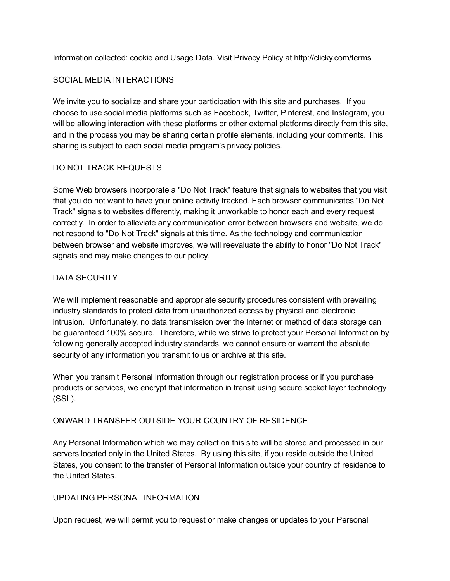Information collected: cookie and Usage Data. Visit Privacy Policy at http://clicky.com/terms

### SOCIAL MEDIA INTERACTIONS

We invite you to socialize and share your participation with this site and purchases. If you choose to use social media platforms such as Facebook, Twitter, Pinterest, and Instagram, you will be allowing interaction with these platforms or other external platforms directly from this site, and in the process you may be sharing certain profile elements, including your comments. This sharing is subject to each social media program's privacy policies.

## DO NOT TRACK REQUESTS

Some Web browsers incorporate a "Do Not Track" feature that signals to websites that you visit that you do not want to have your online activity tracked. Each browser communicates "Do Not Track" signals to websites differently, making it unworkable to honor each and every request correctly. In order to alleviate any communication error between browsers and website, we do not respond to "Do Not Track" signals at this time. As the technology and communication between browser and website improves, we will reevaluate the ability to honor "Do Not Track" signals and may make changes to our policy.

## DATA SECURITY

We will implement reasonable and appropriate security procedures consistent with prevailing industry standards to protect data from unauthorized access by physical and electronic intrusion. Unfortunately, no data transmission over the Internet or method of data storage can be guaranteed 100% secure. Therefore, while we strive to protect your Personal Information by following generally accepted industry standards, we cannot ensure or warrant the absolute security of any information you transmit to us or archive at this site.

When you transmit Personal Information through our registration process or if you purchase products or services, we encrypt that information in transit using secure socket layer technology (SSL).

### ONWARD TRANSFER OUTSIDE YOUR COUNTRY OF RESIDENCE

Any Personal Information which we may collect on this site will be stored and processed in our servers located only in the United States. By using this site, if you reside outside the United States, you consent to the transfer of Personal Information outside your country of residence to the United States.

### UPDATING PERSONAL INFORMATION

Upon request, we will permit you to request or make changes or updates to your Personal